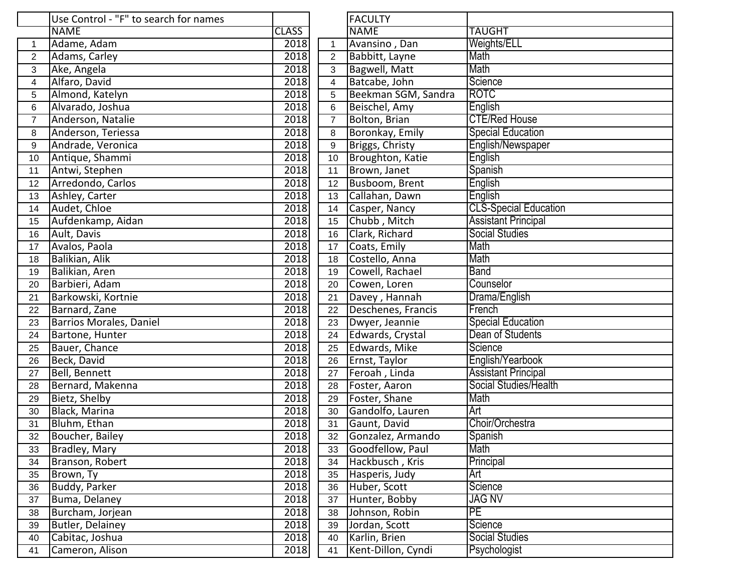|                | Use Control - "F" to search for names |              |                | <b>FACULTY</b>      |                              |
|----------------|---------------------------------------|--------------|----------------|---------------------|------------------------------|
|                | <b>NAME</b>                           | <b>CLASS</b> |                | <b>NAME</b>         | <b>TAUGHT</b>                |
| 1              | Adame, Adam                           | 2018         | $\mathbf{1}$   | Avansino, Dan       | Weights/ELL                  |
| $\overline{2}$ | Adams, Carley                         | 2018         | $\overline{2}$ | Babbitt, Layne      | Math                         |
| 3              | Ake, Angela                           | 2018         | $\mathbf{3}$   | Bagwell, Matt       | Math                         |
| 4              | Alfaro, David                         | 2018         | $\overline{4}$ | Batcabe, John       | Science                      |
| 5              | Almond, Katelyn                       | 2018         | 5              | Beekman SGM, Sandra | <b>ROTC</b>                  |
| 6              | Alvarado, Joshua                      | 2018         | 6              | Beischel, Amy       | English                      |
| $\overline{7}$ | Anderson, Natalie                     | 2018         | $\overline{7}$ | Bolton, Brian       | <b>CTE/Red House</b>         |
| 8              | Anderson, Teriessa                    | 2018         | 8              | Boronkay, Emily     | <b>Special Education</b>     |
| 9              | Andrade, Veronica                     | 2018         | 9              | Briggs, Christy     | English/Newspaper            |
| 10             | Antique, Shammi                       | 2018         | 10             | Broughton, Katie    | English                      |
| 11             | Antwi, Stephen                        | 2018         | 11             | Brown, Janet        | Spanish                      |
| 12             | Arredondo, Carlos                     | 2018         | 12             | Busboom, Brent      | English                      |
| 13             | Ashley, Carter                        | 2018         | 13             | Callahan, Dawn      | English                      |
| 14             | Audet, Chloe                          | 2018         | 14             | Casper, Nancy       | <b>CLS-Special Education</b> |
| 15             | Aufdenkamp, Aidan                     | 2018         | 15             | Chubb, Mitch        | <b>Assistant Principal</b>   |
| 16             | Ault, Davis                           | 2018         | 16             | Clark, Richard      | <b>Social Studies</b>        |
| 17             | Avalos, Paola                         | 2018         | 17             | Coats, Emily        | Math                         |
| 18             | Balikian, Alik                        | 2018         | 18             | Costello, Anna      | Math                         |
| 19             | Balikian, Aren                        | 2018         | 19             | Cowell, Rachael     | <b>Band</b>                  |
| 20             | Barbieri, Adam                        | 2018         | 20             | Cowen, Loren        | Counselor                    |
| 21             | Barkowski, Kortnie                    | 2018         | 21             | Davey, Hannah       | Drama/English                |
| 22             | Barnard, Zane                         | 2018         | 22             | Deschenes, Francis  | French                       |
| 23             | Barrios Morales, Daniel               | 2018         | 23             | Dwyer, Jeannie      | <b>Special Education</b>     |
| 24             | Bartone, Hunter                       | 2018         | 24             | Edwards, Crystal    | Dean of Students             |
| 25             | Bauer, Chance                         | 2018         | 25             | Edwards, Mike       | Science                      |
| 26             | Beck, David                           | 2018         | 26             | Ernst, Taylor       | English/Yearbook             |
| 27             | <b>Bell, Bennett</b>                  | 2018         | 27             | Feroah, Linda       | <b>Assistant Principal</b>   |
| 28             | Bernard, Makenna                      | 2018         | 28             | Foster, Aaron       | Social Studies/Health        |
| 29             | Bietz, Shelby                         | 2018         | 29             | Foster, Shane       | Math                         |
| 30             | <b>Black, Marina</b>                  | 2018         | 30             | Gandolfo, Lauren    | Art                          |
| 31             | Bluhm, Ethan                          | 2018         | 31             | Gaunt, David        | Choir/Orchestra              |
| 32             | Boucher, Bailey                       | 2018         | 32             | Gonzalez, Armando   | Spanish                      |
| 33             | Bradley, Mary                         | 2018         | 33             | Goodfellow, Paul    | Math                         |
| 34             | Branson, Robert                       | 2018         | 34             | Hackbusch, Kris     | Principal                    |
| 35             | Brown, Ty                             | 2018         | 35             | Hasperis, Judy      | Art                          |
| 36             | Buddy, Parker                         | 2018         | 36             | Huber, Scott        | Science                      |
| 37             | Buma, Delaney                         | 2018         | 37             | Hunter, Bobby       | <b>JAG NV</b>                |
| 38             | Burcham, Jorjean                      | 2018         | 38             | Johnson, Robin      | PE                           |
| 39             | Butler, Delainey                      | 2018         | 39             | Jordan, Scott       | Science                      |
| 40             | Cabitac, Joshua                       | 2018         | 40             | Karlin, Brien       | Social Studies               |
| 41             | Cameron, Alison                       | 2018         | 41             | Kent-Dillon, Cyndi  | Psychologist                 |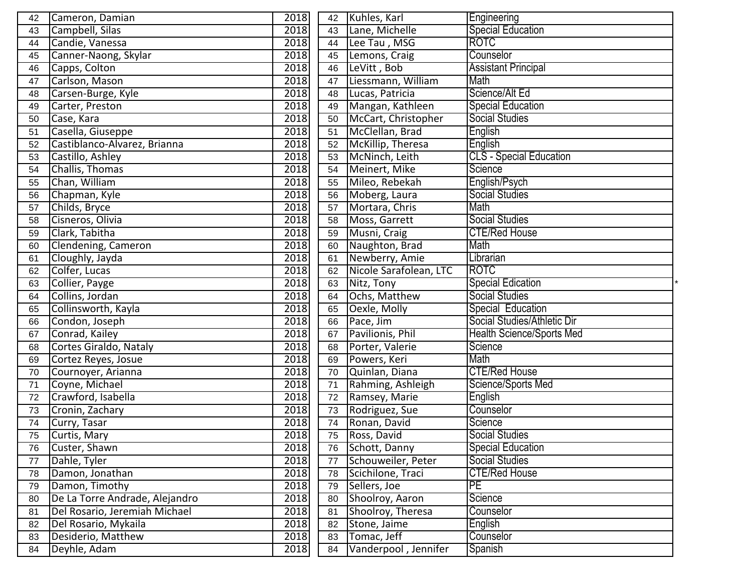| 42 | Cameron, Damian                | 2018 |    | 42 Kuhles, Karl        | Engineering                      |
|----|--------------------------------|------|----|------------------------|----------------------------------|
| 43 | Campbell, Silas                | 2018 | 43 | Lane, Michelle         | <b>Special Education</b>         |
| 44 | Candie, Vanessa                | 2018 | 44 | Lee Tau, MSG           | <b>ROTC</b>                      |
| 45 | Canner-Naong, Skylar           | 2018 | 45 | Lemons, Craig          | Counselor                        |
| 46 | Capps, Colton                  | 2018 | 46 | LeVitt, Bob            | <b>Assistant Principal</b>       |
| 47 | Carlson, Mason                 | 2018 | 47 | Liessmann, William     | Math                             |
| 48 | Carsen-Burge, Kyle             | 2018 | 48 | Lucas, Patricia        | Science/Alt Ed                   |
| 49 | Carter, Preston                | 2018 | 49 | Mangan, Kathleen       | <b>Special Education</b>         |
| 50 | Case, Kara                     | 2018 | 50 | McCart, Christopher    | <b>Social Studies</b>            |
| 51 | Casella, Giuseppe              | 2018 | 51 | McClellan, Brad        | English                          |
| 52 | Castiblanco-Alvarez, Brianna   | 2018 | 52 | McKillip, Theresa      | English                          |
| 53 | Castillo, Ashley               | 2018 | 53 | McNinch, Leith         | <b>CLS</b> - Special Education   |
| 54 | Challis, Thomas                | 2018 | 54 | Meinert, Mike          | Science                          |
| 55 | Chan, William                  | 2018 | 55 | Mileo, Rebekah         | English/Psych                    |
| 56 | Chapman, Kyle                  | 2018 | 56 | Moberg, Laura          | <b>Social Studies</b>            |
| 57 | Childs, Bryce                  | 2018 | 57 | Mortara, Chris         | Math                             |
| 58 | Cisneros, Olivia               | 2018 | 58 | Moss, Garrett          | <b>Social Studies</b>            |
| 59 | Clark, Tabitha                 | 2018 | 59 | Musni, Craig           | <b>CTE/Red House</b>             |
| 60 | Clendening, Cameron            | 2018 | 60 | Naughton, Brad         | Math                             |
| 61 | Cloughly, Jayda                | 2018 | 61 | Newberry, Amie         | Librarian                        |
| 62 | Colfer, Lucas                  | 2018 | 62 | Nicole Sarafolean, LTC | <b>ROTC</b>                      |
| 63 | Collier, Payge                 | 2018 | 63 | Nitz, Tony             | <b>Special Edication</b>         |
| 64 | Collins, Jordan                | 2018 | 64 | Ochs, Matthew          | <b>Social Studies</b>            |
| 65 | Collinsworth, Kayla            | 2018 | 65 | Oexle, Molly           | Special Education                |
| 66 | Condon, Joseph                 | 2018 | 66 | Pace, Jim              | Social Studies/Athletic Dir      |
| 67 | Conrad, Kailey                 | 2018 | 67 | Pavilionis, Phil       | <b>Health Science/Sports Med</b> |
| 68 | Cortes Giraldo, Nataly         | 2018 | 68 | Porter, Valerie        | Science                          |
| 69 | Cortez Reyes, Josue            | 2018 | 69 | Powers, Keri           | Math                             |
| 70 | Cournoyer, Arianna             | 2018 | 70 | Quinlan, Diana         | <b>CTE/Red House</b>             |
| 71 | Coyne, Michael                 | 2018 | 71 | Rahming, Ashleigh      | Science/Sports Med               |
| 72 | Crawford, Isabella             | 2018 | 72 | Ramsey, Marie          | English                          |
| 73 | Cronin, Zachary                | 2018 | 73 | Rodriguez, Sue         | Counselor                        |
| 74 | Curry, Tasar                   | 2018 | 74 | Ronan, David           | Science                          |
| 75 | Curtis, Mary                   | 2018 | 75 | Ross, David            | <b>Social Studies</b>            |
| 76 | Custer, Shawn                  | 2018 | 76 | Schott, Danny          | <b>Special Education</b>         |
| 77 | Dahle, Tyler                   | 2018 | 77 | Schouweiler, Peter     | <b>Social Studies</b>            |
| 78 | Damon, Jonathan                | 2018 | 78 | Scichilone, Traci      | <b>CTE/Red House</b>             |
| 79 | Damon, Timothy                 | 2018 | 79 | Sellers, Joe           | PE                               |
| 80 | De La Torre Andrade, Alejandro | 2018 | 80 | Shoolroy, Aaron        | Science                          |
| 81 | Del Rosario, Jeremiah Michael  | 2018 | 81 | Shoolroy, Theresa      | Counselor                        |
| 82 | Del Rosario, Mykaila           | 2018 | 82 | Stone, Jaime           | English                          |
| 83 | Desiderio, Matthew             | 2018 | 83 | Tomac, Jeff            | Counselor                        |
| 84 | Deyhle, Adam                   | 2018 | 84 | Vanderpool, Jennifer   | Spanish                          |
|    |                                |      |    |                        |                                  |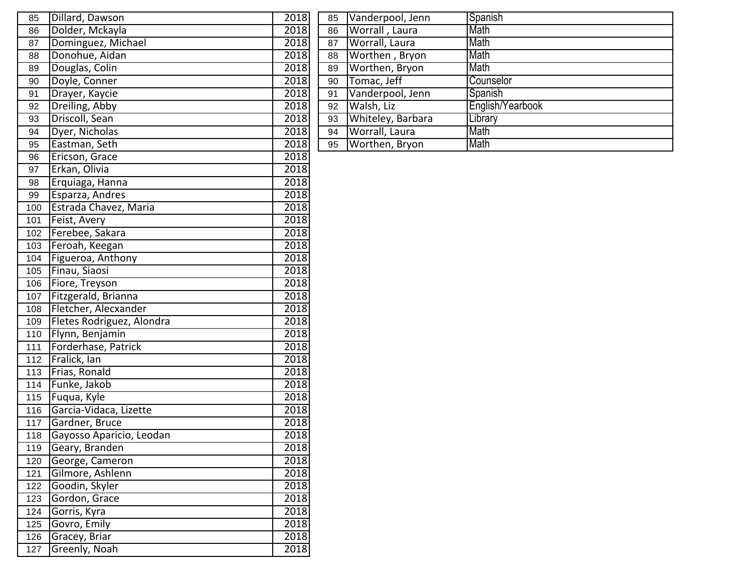| 85  | Dillard, Dawson           | 2018 | 85 | Vanderpool, Jenn  | Spanish          |
|-----|---------------------------|------|----|-------------------|------------------|
| 86  | Dolder, Mckayla           | 2018 | 86 | Worrall, Laura    | Math             |
| 87  | Dominguez, Michael        | 2018 | 87 | Worrall, Laura    | Math             |
| 88  | Donohue, Aidan            | 2018 | 88 | Worthen, Bryon    | Math             |
| 89  | Douglas, Colin            | 2018 | 89 | Worthen, Bryon    | Math             |
| 90  | Doyle, Conner             | 2018 | 90 | Tomac, Jeff       | Counselor        |
| 91  | Drayer, Kaycie            | 2018 | 91 | Vanderpool, Jenn  | Spanish          |
| 92  | Dreiling, Abby            | 2018 | 92 | Walsh, Liz        | English/Yearbook |
| 93  | Driscoll, Sean            | 2018 | 93 | Whiteley, Barbara | Library          |
| 94  | Dyer, Nicholas            | 2018 | 94 | Worrall, Laura    | Math             |
| 95  | Eastman, Seth             | 2018 | 95 | Worthen, Bryon    | Math             |
| 96  | Ericson, Grace            | 2018 |    |                   |                  |
| 97  | Erkan, Olivia             | 2018 |    |                   |                  |
| 98  | Erquiaga, Hanna           | 2018 |    |                   |                  |
| 99  | Esparza, Andres           | 2018 |    |                   |                  |
| 100 | Estrada Chavez, Maria     | 2018 |    |                   |                  |
| 101 | Feist, Avery              | 2018 |    |                   |                  |
| 102 | Ferebee, Sakara           | 2018 |    |                   |                  |
| 103 | Feroah, Keegan            | 2018 |    |                   |                  |
| 104 | Figueroa, Anthony         | 2018 |    |                   |                  |
| 105 | Finau, Siaosi             | 2018 |    |                   |                  |
| 106 | Fiore, Treyson            | 2018 |    |                   |                  |
| 107 | Fitzgerald, Brianna       | 2018 |    |                   |                  |
| 108 | Fletcher, Alecxander      | 2018 |    |                   |                  |
| 109 | Fletes Rodriguez, Alondra | 2018 |    |                   |                  |
| 110 | Flynn, Benjamin           | 2018 |    |                   |                  |
| 111 | Forderhase, Patrick       | 2018 |    |                   |                  |
| 112 | Fralick, lan              | 2018 |    |                   |                  |
| 113 | Frias, Ronald             | 2018 |    |                   |                  |
| 114 | Funke, Jakob              | 2018 |    |                   |                  |
| 115 | Fuqua, Kyle               | 2018 |    |                   |                  |
| 116 | Garcia-Vidaca, Lizette    | 2018 |    |                   |                  |
| 117 | Gardner, Bruce            | 2018 |    |                   |                  |
| 118 | Gayosso Aparicio, Leodan  | 2018 |    |                   |                  |
| 119 | Geary, Branden            | 2018 |    |                   |                  |
| 120 | George, Cameron           | 2018 |    |                   |                  |
| 121 | Gilmore, Ashlenn          | 2018 |    |                   |                  |
| 122 | Goodin, Skyler            | 2018 |    |                   |                  |
| 123 | Gordon, Grace             | 2018 |    |                   |                  |
| 124 | Gorris, Kyra              | 2018 |    |                   |                  |
| 125 | Govro, Emily              | 2018 |    |                   |                  |
| 126 | Gracey, Briar             | 2018 |    |                   |                  |
| 127 | Greenly, Noah             | 2018 |    |                   |                  |

| 85 | Vanderpool, Jenn  | Spanish          |
|----|-------------------|------------------|
| 86 | Worrall, Laura    | Math             |
| 87 | Worrall, Laura    | Math             |
| 88 | Worthen, Bryon    | Math             |
| 89 | Worthen, Bryon    | Math             |
| 90 | Tomac, Jeff       | Counselor        |
| 91 | Vanderpool, Jenn  | Spanish          |
| 92 | Walsh, Liz        | English/Yearbook |
| 93 | Whiteley, Barbara | Library          |
| 94 | Worrall, Laura    | Math             |
| 95 | Worthen, Bryon    | Math             |
|    |                   |                  |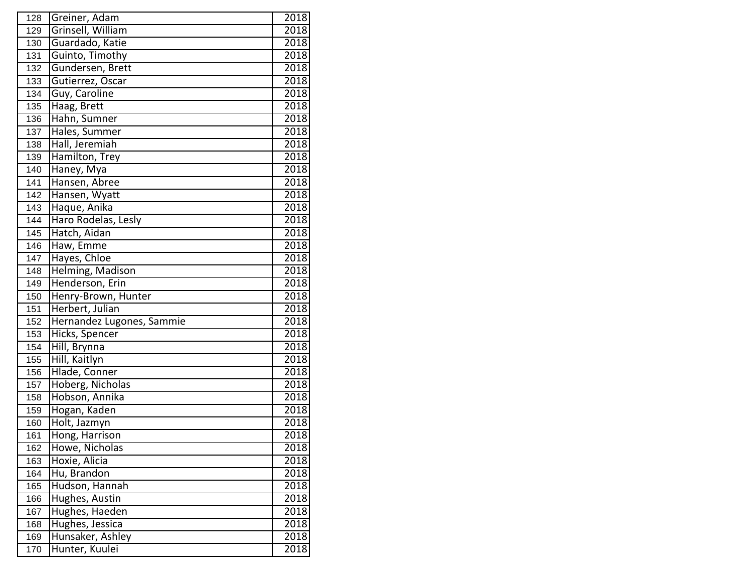| 128 | Greiner, Adam             | 2018 |
|-----|---------------------------|------|
| 129 | Grinsell, William         | 2018 |
| 130 | Guardado, Katie           | 2018 |
| 131 | Guinto, Timothy           | 2018 |
| 132 | Gundersen, Brett          | 2018 |
| 133 | Gutierrez, Oscar          | 2018 |
| 134 | Guy, Caroline             | 2018 |
| 135 | Haag, Brett               | 2018 |
| 136 | Hahn, Sumner              | 2018 |
| 137 | Hales, Summer             | 2018 |
| 138 | Hall, Jeremiah            | 2018 |
| 139 | Hamilton, Trey            | 2018 |
| 140 | Haney, Mya                | 2018 |
| 141 | Hansen, Abree             | 2018 |
| 142 | Hansen, Wyatt             | 2018 |
| 143 | Haque, Anika              | 2018 |
| 144 | Haro Rodelas, Lesly       | 2018 |
| 145 | Hatch, Aidan              | 2018 |
| 146 | Haw, Emme                 | 2018 |
| 147 | Hayes, Chloe              | 2018 |
| 148 | Helming, Madison          | 2018 |
| 149 | Henderson, Erin           | 2018 |
| 150 | Henry-Brown, Hunter       | 2018 |
| 151 | Herbert, Julian           | 2018 |
| 152 | Hernandez Lugones, Sammie | 2018 |
| 153 | Hicks, Spencer            | 2018 |
| 154 | Hill, Brynna              | 2018 |
| 155 | Hill, Kaitlyn             | 2018 |
| 156 | Hlade, Conner             | 2018 |
| 157 | Hoberg, Nicholas          | 2018 |
| 158 | Hobson, Annika            | 2018 |
| 159 | Hogan, Kaden              | 2018 |
| 160 | Holt, Jazmyn              | 2018 |
| 161 | Hong, Harrison            | 2018 |
| 162 | Howe, Nicholas            | 2018 |
| 163 | Hoxie, Alicia             | 2018 |
| 164 | Hu, Brandon               | 2018 |
| 165 | Hudson, Hannah            | 2018 |
| 166 | Hughes, Austin            | 2018 |
| 167 | Hughes, Haeden            | 2018 |
| 168 | Hughes, Jessica           | 2018 |
| 169 | Hunsaker, Ashley          | 2018 |
| 170 | Hunter, Kuulei            | 2018 |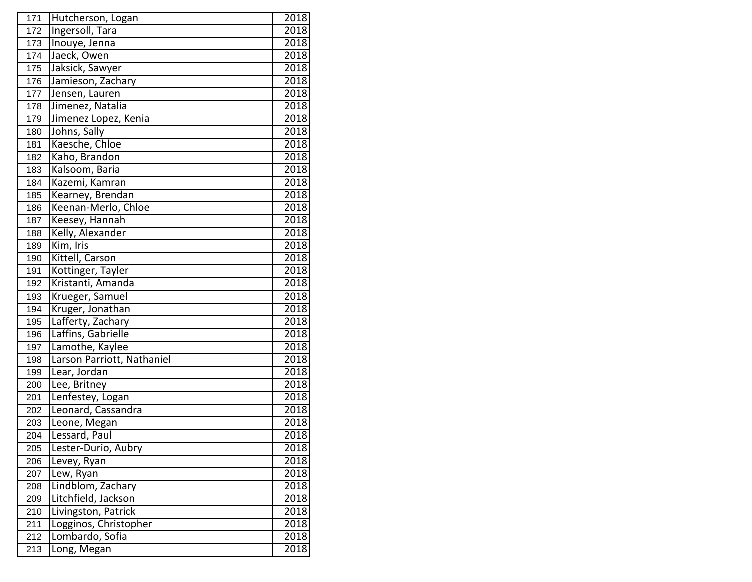| 171              | Hutcherson, Logan          | 2018 |
|------------------|----------------------------|------|
| 172              | Ingersoll, Tara            | 2018 |
| 173              | Inouye, Jenna              | 2018 |
| 174              | Jaeck, Owen                | 2018 |
| 175              | Jaksick, Sawyer            | 2018 |
| 176              | Jamieson, Zachary          | 2018 |
| 177              | Jensen, Lauren             | 2018 |
| 178              | Jimenez, Natalia           | 2018 |
| 179              | Jimenez Lopez, Kenia       | 2018 |
| 180              | Johns, Sally               | 2018 |
| 181              | Kaesche, Chloe             | 2018 |
| 182              | Kaho, Brandon              | 2018 |
| $\overline{183}$ | Kalsoom, Baria             | 2018 |
| 184              | Kazemi, Kamran             | 2018 |
| 185              | Kearney, Brendan           | 2018 |
| 186              | Keenan-Merlo, Chloe        | 2018 |
| 187              | Keesey, Hannah             | 2018 |
| 188              | Kelly, Alexander           | 2018 |
| 189              | Kim, Iris                  | 2018 |
| 190              | Kittell, Carson            | 2018 |
| 191              | Kottinger, Tayler          | 2018 |
| 192              | Kristanti, Amanda          | 2018 |
| 193              | Krueger, Samuel            | 2018 |
| 194              | Kruger, Jonathan           | 2018 |
| 195              | Lafferty, Zachary          | 2018 |
| 196              | Laffins, Gabrielle         | 2018 |
| 197              | Lamothe, Kaylee            | 2018 |
| 198              | Larson Parriott, Nathaniel | 2018 |
| 199              | Lear, Jordan               | 2018 |
| 200              | Lee, Britney               | 2018 |
| 201              | Lenfestey, Logan           | 2018 |
| 202              | Leonard, Cassandra         | 2018 |
| 203              | Leone, Megan               | 2018 |
| 204              | Lessard, Paul              | 2018 |
| 205              | Lester-Durio, Aubry        | 2018 |
| 206              | Levey, Ryan                | 2018 |
| 207              | Lew, Ryan                  | 2018 |
| 208              | Lindblom, Zachary          | 2018 |
| 209              | Litchfield, Jackson        | 2018 |
| 210              | Livingston, Patrick        | 2018 |
| 211              | Logginos, Christopher      | 2018 |
| 212              | Lombardo, Sofia            | 2018 |
| 213              | Long, Megan                | 2018 |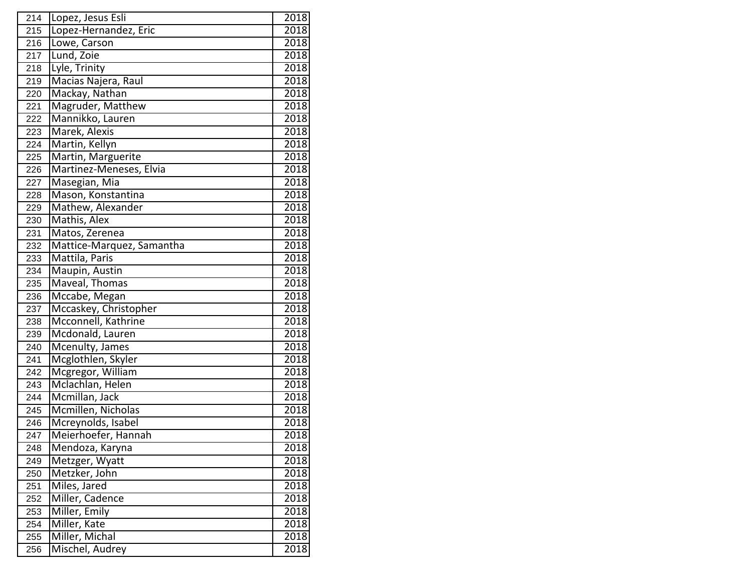| 214 | Lopez, Jesus Esli         | 2018 |
|-----|---------------------------|------|
| 215 | Lopez-Hernandez, Eric     | 2018 |
| 216 | Lowe, Carson              | 2018 |
| 217 | Lund, Zoie                | 2018 |
| 218 | Lyle, Trinity             | 2018 |
| 219 | Macias Najera, Raul       | 2018 |
| 220 | Mackay, Nathan            | 2018 |
| 221 | Magruder, Matthew         | 2018 |
| 222 | Mannikko, Lauren          | 2018 |
| 223 | Marek, Alexis             | 2018 |
| 224 | Martin, Kellyn            | 2018 |
| 225 | Martin, Marguerite        | 2018 |
| 226 | Martinez-Meneses, Elvia   | 2018 |
| 227 | Masegian, Mia             | 2018 |
| 228 | Mason, Konstantina        | 2018 |
| 229 | Mathew, Alexander         | 2018 |
| 230 | Mathis, Alex              | 2018 |
| 231 | Matos, Zerenea            | 2018 |
| 232 | Mattice-Marquez, Samantha | 2018 |
| 233 | Mattila, Paris            | 2018 |
| 234 | Maupin, Austin            | 2018 |
| 235 | Maveal, Thomas            | 2018 |
| 236 | Mccabe, Megan             | 2018 |
| 237 | Mccaskey, Christopher     | 2018 |
| 238 | Mcconnell, Kathrine       | 2018 |
| 239 | Mcdonald, Lauren          | 2018 |
| 240 | Mcenulty, James           | 2018 |
| 241 | Mcglothlen, Skyler        | 2018 |
| 242 | Mcgregor, William         | 2018 |
| 243 | Mclachlan, Helen          | 2018 |
| 244 | Mcmillan, Jack            | 2018 |
| 245 | Mcmillen, Nicholas        | 2018 |
| 246 | Mcreynolds, Isabel        | 2018 |
| 247 | Meierhoefer, Hannah       | 2018 |
| 248 | Mendoza, Karyna           | 2018 |
| 249 | Metzger, Wyatt            | 2018 |
| 250 | Metzker, John             | 2018 |
| 251 | Miles, Jared              | 2018 |
| 252 | Miller, Cadence           | 2018 |
| 253 | Miller, Emily             | 2018 |
| 254 | Miller, Kate              | 2018 |
| 255 | Miller, Michal            | 2018 |
| 256 | Mischel, Audrey           | 2018 |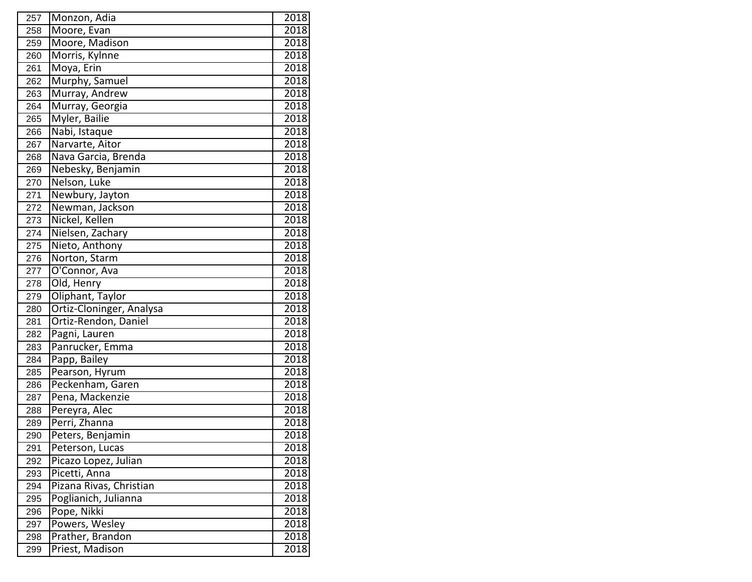| 257 | Monzon, Adia             | 2018 |
|-----|--------------------------|------|
| 258 | Moore, Evan              | 2018 |
| 259 | Moore, Madison           | 2018 |
| 260 | Morris, Kylnne           | 2018 |
| 261 | Moya, Erin               | 2018 |
| 262 | Murphy, Samuel           | 2018 |
| 263 | Murray, Andrew           | 2018 |
| 264 | Murray, Georgia          | 2018 |
| 265 | Myler, Bailie            | 2018 |
| 266 | Nabi, Istaque            | 2018 |
| 267 | Narvarte, Aitor          | 2018 |
| 268 | Nava Garcia, Brenda      | 2018 |
| 269 | Nebesky, Benjamin        | 2018 |
| 270 | Nelson, Luke             | 2018 |
| 271 | Newbury, Jayton          | 2018 |
| 272 | Newman, Jackson          | 2018 |
| 273 | Nickel, Kellen           | 2018 |
| 274 | Nielsen, Zachary         | 2018 |
| 275 | Nieto, Anthony           | 2018 |
| 276 | Norton, Starm            | 2018 |
| 277 | O'Connor, Ava            | 2018 |
| 278 | Old, Henry               | 2018 |
| 279 | Oliphant, Taylor         | 2018 |
| 280 | Ortiz-Cloninger, Analysa | 2018 |
| 281 | Ortiz-Rendon, Daniel     | 2018 |
| 282 | Pagni, Lauren            | 2018 |
| 283 | Panrucker, Emma          | 2018 |
| 284 | Papp, Bailey             | 2018 |
| 285 | Pearson, Hyrum           | 2018 |
| 286 | Peckenham, Garen         | 2018 |
| 287 | Pena, Mackenzie          | 2018 |
| 288 | Pereyra, Alec            | 2018 |
| 289 | Perri, Zhanna            | 2018 |
| 290 | Peters, Benjamin         | 2018 |
| 291 | Peterson, Lucas          | 2018 |
| 292 | Picazo Lopez, Julian     | 2018 |
| 293 | Picetti, Anna            | 2018 |
| 294 | Pizana Rivas, Christian  | 2018 |
| 295 | Poglianich, Julianna     | 2018 |
| 296 | Pope, Nikki              | 2018 |
| 297 | Powers, Wesley           | 2018 |
| 298 | Prather, Brandon         | 2018 |
| 299 | Priest, Madison          | 2018 |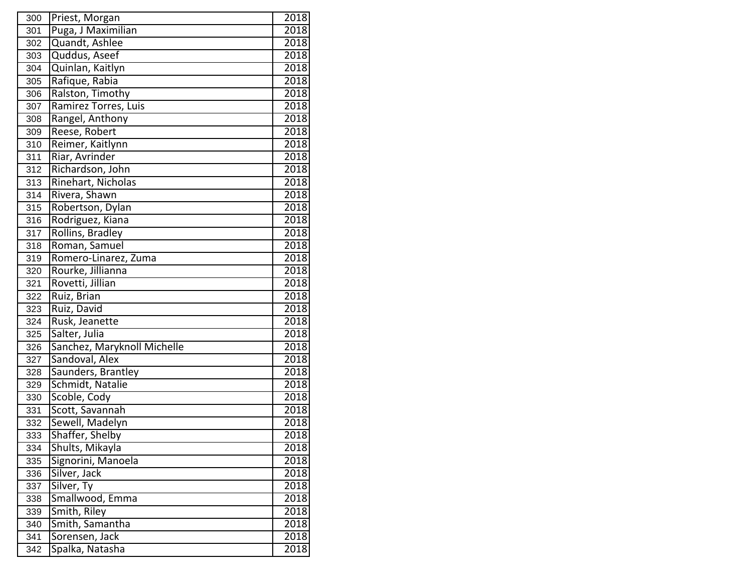| 300 | Priest, Morgan              | 2018 |
|-----|-----------------------------|------|
| 301 | Puga, J Maximilian          | 2018 |
| 302 | Quandt, Ashlee              | 2018 |
| 303 | Quddus, Aseef               | 2018 |
| 304 | Quinlan, Kaitlyn            | 2018 |
| 305 | Rafique, Rabia              | 2018 |
| 306 | Ralston, Timothy            | 2018 |
| 307 | Ramirez Torres, Luis        | 2018 |
| 308 | Rangel, Anthony             | 2018 |
| 309 | Reese, Robert               | 2018 |
| 310 | Reimer, Kaitlynn            | 2018 |
| 311 | Riar, Avrinder              | 2018 |
| 312 | Richardson, John            | 2018 |
| 313 | Rinehart, Nicholas          | 2018 |
| 314 | Rivera, Shawn               | 2018 |
| 315 | Robertson, Dylan            | 2018 |
| 316 | Rodriguez, Kiana            | 2018 |
| 317 | Rollins, Bradley            | 2018 |
| 318 | Roman, Samuel               | 2018 |
| 319 | Romero-Linarez, Zuma        | 2018 |
| 320 | Rourke, Jillianna           | 2018 |
| 321 | Rovetti, Jillian            | 2018 |
| 322 | Ruiz, Brian                 | 2018 |
| 323 | Ruiz, David                 | 2018 |
| 324 | Rusk, Jeanette              | 2018 |
| 325 | Salter, Julia               | 2018 |
| 326 | Sanchez, Maryknoll Michelle | 2018 |
| 327 | Sandoval, Alex              | 2018 |
| 328 | Saunders, Brantley          | 2018 |
| 329 | Schmidt, Natalie            | 2018 |
| 330 | Scoble, Cody                | 2018 |
| 331 | Scott, Savannah             | 2018 |
| 332 | Sewell, Madelyn             | 2018 |
| 333 | Shaffer, Shelby             | 2018 |
| 334 | Shults, Mikayla             | 2018 |
| 335 | Signorini, Manoela          | 2018 |
| 336 | Silver, Jack                | 2018 |
| 337 | Silver, Ty                  | 2018 |
| 338 | Smallwood, Emma             | 2018 |
| 339 | Smith, Riley                | 2018 |
| 340 | Smith, Samantha             | 2018 |
| 341 | Sorensen, Jack              | 2018 |
| 342 | Spalka, Natasha             | 2018 |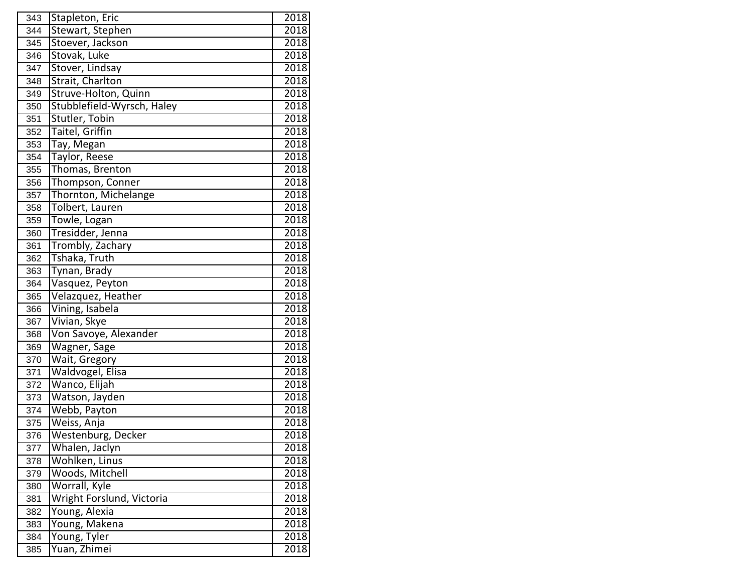| 343 | Stapleton, Eric            | 2018 |
|-----|----------------------------|------|
| 344 | Stewart, Stephen           | 2018 |
| 345 | Stoever, Jackson           | 2018 |
| 346 | Stovak, Luke               | 2018 |
| 347 | Stover, Lindsay            | 2018 |
| 348 | Strait, Charlton           | 2018 |
| 349 | Struve-Holton, Quinn       | 2018 |
| 350 | Stubblefield-Wyrsch, Haley | 2018 |
| 351 | Stutler, Tobin             | 2018 |
| 352 | Taitel, Griffin            | 2018 |
| 353 | Tay, Megan                 | 2018 |
| 354 | <b>Taylor, Reese</b>       | 2018 |
| 355 | Thomas, Brenton            | 2018 |
| 356 | Thompson, Conner           | 2018 |
| 357 | Thornton, Michelange       | 2018 |
| 358 | Tolbert, Lauren            | 2018 |
| 359 | Towle, Logan               | 2018 |
| 360 | Tresidder, Jenna           | 2018 |
| 361 | Trombly, Zachary           | 2018 |
| 362 | Tshaka, Truth              | 2018 |
| 363 | Tynan, Brady               | 2018 |
| 364 | Vasquez, Peyton            | 2018 |
| 365 | Velazquez, Heather         | 2018 |
| 366 | Vining, Isabela            | 2018 |
| 367 | Vivian, Skye               | 2018 |
| 368 | Von Savoye, Alexander      | 2018 |
| 369 | Wagner, Sage               | 2018 |
| 370 | Wait, Gregory              | 2018 |
| 371 | Waldvogel, Elisa           | 2018 |
| 372 | Wanco, Elijah              | 2018 |
| 373 | Watson, Jayden             | 2018 |
| 374 | Webb, Payton               | 2018 |
| 375 | Weiss, Anja                | 2018 |
| 376 | Westenburg, Decker         | 2018 |
| 377 | Whalen, Jaclyn             | 2018 |
| 378 | Wohlken, Linus             | 2018 |
| 379 | Woods, Mitchell            | 2018 |
| 380 | Worrall, Kyle              | 2018 |
| 381 | Wright Forslund, Victoria  | 2018 |
| 382 | Young, Alexia              | 2018 |
| 383 | Young, Makena              | 2018 |
| 384 | Young, Tyler               | 2018 |
| 385 | Yuan, Zhimei               | 2018 |